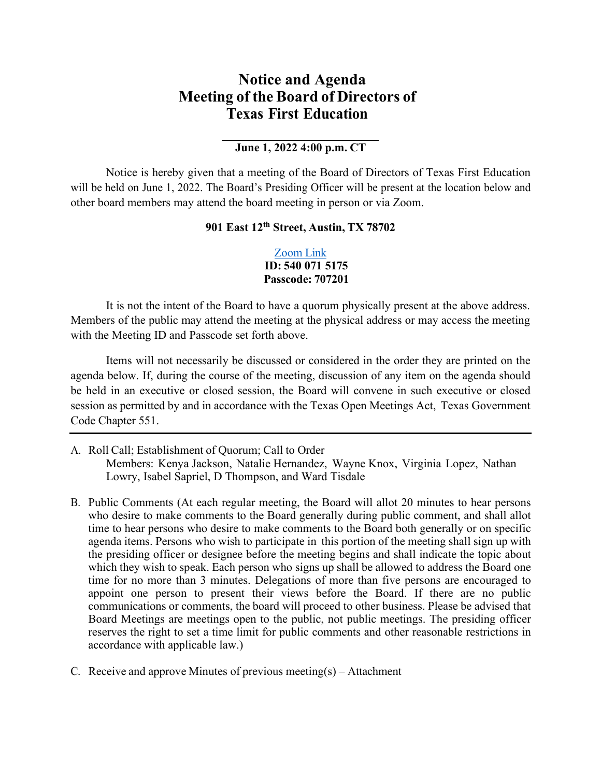## **Notice and Agenda Meeting of the Board of Directors of Texas First Education**

## **June 1, 2022 4:00 p.m. CT**

Notice is hereby given that a meeting of the Board of Directors of Texas First Education will be held on June 1, 2022. The Board's Presiding Officer will be present at the location below and other board members may attend the board meeting in person or via Zoom.

## **901 East 12th Street, Austin, TX 78702**

## [Zoom](https://us02web.zoom.us/j/5400715175?pwd=OXRHWVM5dVB4TEkyNU5oQU90Q3oxQT09) Link **ID: 540 071 5175 Passcode: 707201**

It is not the intent of the Board to have a quorum physically present at the above address. Members of the public may attend the meeting at the physical address or may access the meeting with the Meeting ID and Passcode set forth above.

Items will not necessarily be discussed or considered in the order they are printed on the agenda below. If, during the course of the meeting, discussion of any item on the agenda should be held in an executive or closed session, the Board will convene in such executive or closed session as permitted by and in accordance with the Texas Open Meetings Act, Texas Government Code Chapter 551.

- A. Roll Call; Establishment of Quorum; Call to Order Members: Kenya Jackson, Natalie Hernandez, Wayne Knox, Virginia Lopez, Nathan Lowry, Isabel Sapriel, D Thompson, and Ward Tisdale
- B. Public Comments (At each regular meeting, the Board will allot 20 minutes to hear persons who desire to make comments to the Board generally during public comment, and shall allot time to hear persons who desire to make comments to the Board both generally or on specific agenda items. Persons who wish to participate in this portion of the meeting shall sign up with the presiding officer or designee before the meeting begins and shall indicate the topic about which they wish to speak. Each person who signs up shall be allowed to address the Board one time for no more than 3 minutes. Delegations of more than five persons are encouraged to appoint one person to present their views before the Board. If there are no public communications or comments, the board will proceed to other business. Please be advised that Board Meetings are meetings open to the public, not public meetings. The presiding officer reserves the right to set a time limit for public comments and other reasonable restrictions in accordance with applicable law.)
- C. Receive and approve Minutes of previous meeting(s) Attachment